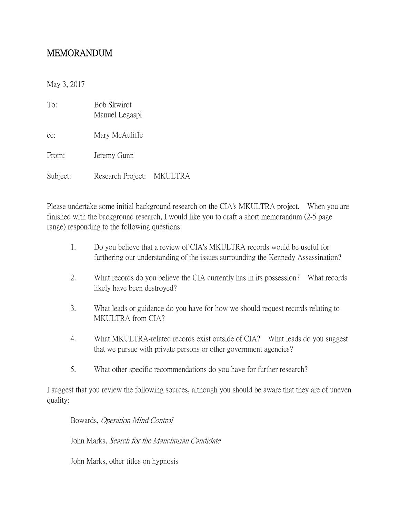## MEMORANDUM

May 3, 2017

| To:      | <b>Bob Skwirot</b><br>Manuel Legaspi |  |
|----------|--------------------------------------|--|
| $CC$ :   | Mary McAuliffe                       |  |
| From:    | Jeremy Gunn                          |  |
| Subject: | Research Project: MKULTRA            |  |

Please undertake some initial background research on the CIA's MKULTRA project. When you are finished with the background research, I would like you to draft a short memorandum (2-5 page range) responding to the following questions:

- 1. Do you believe that a review of CIA's MKULTRA records would be useful for furthering our understanding of the issues surrounding the Kennedy Assassination?
- 2. What records do you believe the CIA currently has in its possession? What records likely have been destroyed?
- 3. What leads or guidance do you have for how we should request records relating to MKULTRA from CIA?
- 4. What MKULTRA-related records exist outside of CIA? What leads do you suggest that we pursue with private persons or other government agencies?
- 5. What other specific recommendations do you have for further research?

I suggest that you review the following sources, although you should be aware that they are of uneven quality:

Bowards, Operation Mind Control

John Marks, Search for the Manchurian Candidate

John Marks, other titles on hypnosis